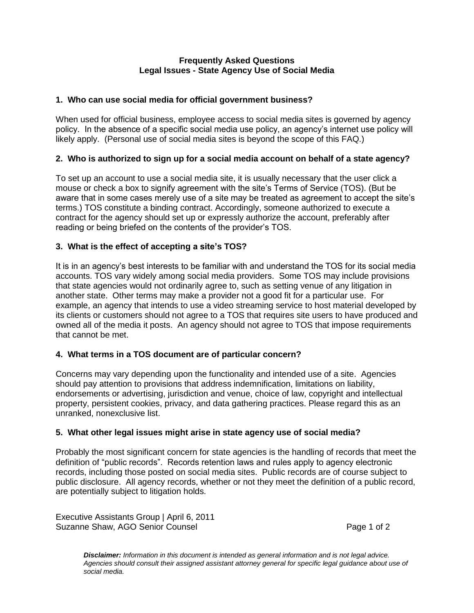#### **Frequently Asked Questions Legal Issues - State Agency Use of Social Media**

## **1. Who can use social media for official government business?**

When used for official business, employee access to social media sites is governed by agency policy. In the absence of a specific social media use policy, an agency's internet use policy will likely apply. (Personal use of social media sites is beyond the scope of this FAQ.)

# **2. Who is authorized to sign up for a social media account on behalf of a state agency?**

To set up an account to use a social media site, it is usually necessary that the user click a mouse or check a box to signify agreement with the site's Terms of Service (TOS). (But be aware that in some cases merely use of a site may be treated as agreement to accept the site's terms.) TOS constitute a binding contract. Accordingly, someone authorized to execute a contract for the agency should set up or expressly authorize the account, preferably after reading or being briefed on the contents of the provider's TOS.

# **3. What is the effect of accepting a site's TOS?**

It is in an agency's best interests to be familiar with and understand the TOS for its social media accounts. TOS vary widely among social media providers. Some TOS may include provisions that state agencies would not ordinarily agree to, such as setting venue of any litigation in another state. Other terms may make a provider not a good fit for a particular use. For example, an agency that intends to use a video streaming service to host material developed by its clients or customers should not agree to a TOS that requires site users to have produced and owned all of the media it posts. An agency should not agree to TOS that impose requirements that cannot be met.

## **4. What terms in a TOS document are of particular concern?**

Concerns may vary depending upon the functionality and intended use of a site. Agencies should pay attention to provisions that address indemnification, limitations on liability, endorsements or advertising, jurisdiction and venue, choice of law, copyright and intellectual property, persistent cookies, privacy, and data gathering practices. Please regard this as an unranked, nonexclusive list.

## **5. What other legal issues might arise in state agency use of social media?**

Probably the most significant concern for state agencies is the handling of records that meet the definition of "public records". Records retention laws and rules apply to agency electronic records, including those posted on social media sites. Public records are of course subject to public disclosure. All agency records, whether or not they meet the definition of a public record, are potentially subject to litigation holds.

Executive Assistants Group | April 6, 2011 Suzanne Shaw, AGO Senior Counsel **Page 1** of 2

*Disclaimer: Information in this document is intended as general information and is not legal advice. Agencies should consult their assigned assistant attorney general for specific legal guidance about use of social media.*